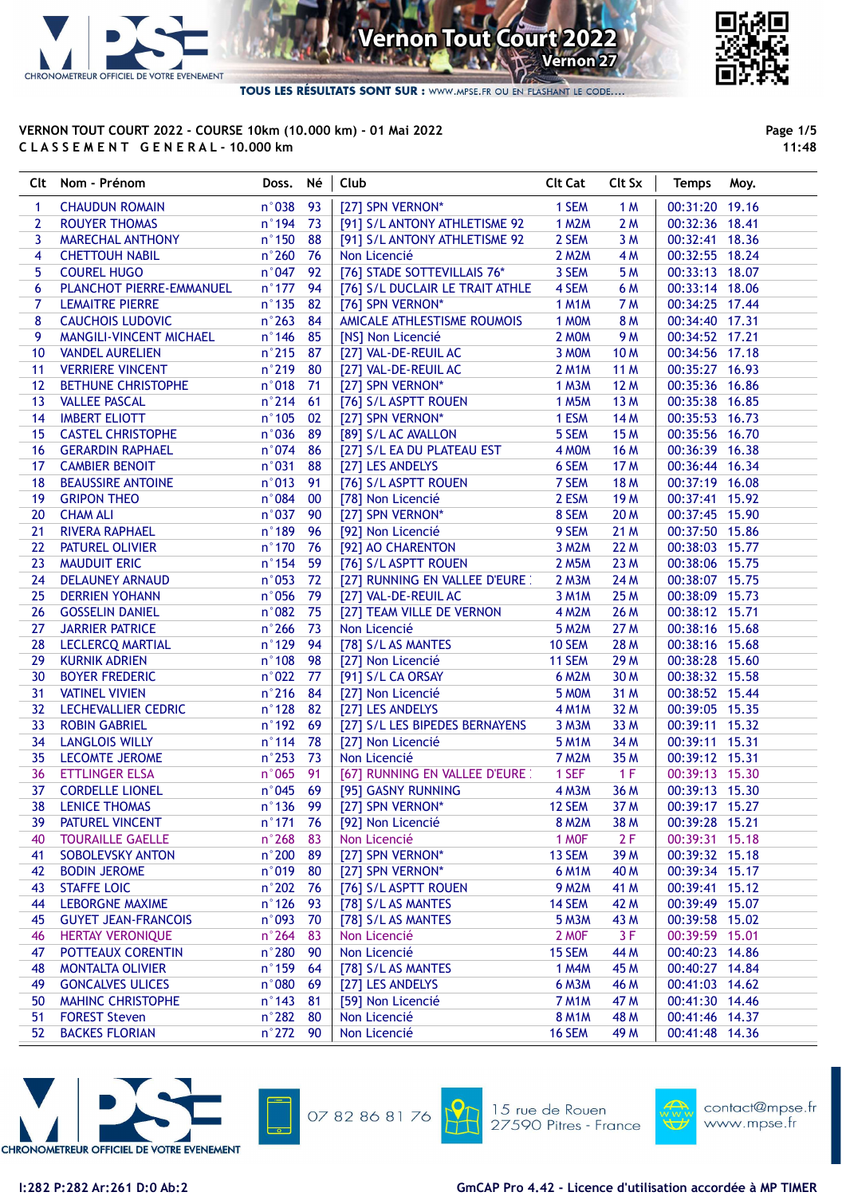

TOUS LES RÉSULTATS SONT SUR : WWW.MPSE.FR OU EN FLASHANT LE CODE.

## VERNON TOUT COURT 2022 - COURSE 10km (10.000 km) - 01 Mai 2022 C L A S S E M E N T G E N E R A L - 10.000 km

Page 1/5 11:48

| Clt             | Nom - Prénom               | Doss.           | Né | Club                            | <b>Clt Cat</b>     | Clt Sx          | <b>Temps</b><br>Moy. |
|-----------------|----------------------------|-----------------|----|---------------------------------|--------------------|-----------------|----------------------|
| 1               | <b>CHAUDUN ROMAIN</b>      | n°038           | 93 | [27] SPN VERNON*                | 1 SEM              | 1 M             | 00:31:20 19.16       |
| $\overline{2}$  | <b>ROUYER THOMAS</b>       | $n^{\circ}$ 194 | 73 | [91] S/L ANTONY ATHLETISME 92   | <b>1 M2M</b>       | 2M              | 00:32:36 18.41       |
| 3               | <b>MARECHAL ANTHONY</b>    | $n^{\circ}$ 150 | 88 | [91] S/L ANTONY ATHLETISME 92   | 2 SEM              | 3M              | 00:32:41 18.36       |
| 4               | <b>CHETTOUH NABIL</b>      | $n^{\circ}260$  | 76 | Non Licencié                    | 2 M2M              | 4 M             | 00:32:55 18.24       |
| 5               | <b>COUREL HUGO</b>         | n°047           | 92 | [76] STADE SOTTEVILLAIS 76*     | 3 SEM              | 5 M             | 00:33:13 18.07       |
| 6               | PLANCHOT PIERRE-EMMANUEL   | $n^{\circ}$ 177 | 94 | [76] S/L DUCLAIR LE TRAIT ATHLE | 4 SEM              | 6 M             | 00:33:14 18.06       |
| 7               | <b>LEMAITRE PIERRE</b>     | $n^{\circ}$ 135 | 82 | [76] SPN VERNON*                | <b>1 M1M</b>       | <b>7 M</b>      | 00:34:25 17.44       |
| 8               | <b>CAUCHOIS LUDOVIC</b>    | $n^{\circ}263$  | 84 | AMICALE ATHLESTISME ROUMOIS     | 1 MOM              | <b>8M</b>       | 00:34:40 17.31       |
| 9               | MANGILI-VINCENT MICHAEL    | $n^{\circ}$ 146 | 85 | [NS] Non Licencié               | 2 MOM              | 9 M             | 00:34:52 17.21       |
| 10 <sup>°</sup> | <b>VANDEL AURELIEN</b>     | n°215           | 87 | [27] VAL-DE-REUIL AC            | 3 MOM              | 10 <sub>M</sub> | 00:34:56 17.18       |
| 11              | <b>VERRIERE VINCENT</b>    | n°219           | 80 | [27] VAL-DE-REUIL AC            | 2 M1M              | 11 M            | 00:35:27 16.93       |
| 12              | <b>BETHUNE CHRISTOPHE</b>  | n°018           | 71 | [27] SPN VERNON*                | 1 M3M              | 12 M            | 00:35:36 16.86       |
| 13              | <b>VALLEE PASCAL</b>       | n°214           | 61 | [76] S/L ASPTT ROUEN            | <b>1 M5M</b>       | 13 M            | 00:35:38 16.85       |
| 14              | <b>IMBERT ELIOTT</b>       | $n^{\circ}$ 105 | 02 | [27] SPN VERNON*                | 1 ESM              | 14 M            | 00:35:53 16.73       |
| 15              | <b>CASTEL CHRISTOPHE</b>   | n°036           | 89 | [89] S/L AC AVALLON             | 5 SEM              | 15 M            | 00:35:56 16.70       |
| 16 <sup>2</sup> | <b>GERARDIN RAPHAEL</b>    | n°074           | 86 | [27] S/L EA DU PLATEAU EST      | 4 MOM              | 16M             | 00:36:39 16.38       |
| 17 <sup>2</sup> | <b>CAMBIER BENOIT</b>      | n°031           | 88 | [27] LES ANDELYS                | 6 SEM              | 17 M            | 00:36:44 16.34       |
| 18              | <b>BEAUSSIRE ANTOINE</b>   | n°013           | 91 | [76] S/L ASPTT ROUEN            | 7 SEM              | <b>18 M</b>     | 00:37:19 16.08       |
| 19              | <b>GRIPON THEO</b>         | n°084           | 00 | [78] Non Licencié               | 2 ESM              | 19 <sub>M</sub> | 00:37:41 15.92       |
| 20              | <b>CHAM ALI</b>            | n°037           | 90 | [27] SPN VERNON*                | 8 SEM              | 20 M            | 00:37:45 15.90       |
| 21              | <b>RIVERA RAPHAEL</b>      | $n^{\circ}$ 189 | 96 | [92] Non Licencié               | 9 SEM              | 21 M            | 00:37:50 15.86       |
| 22              | PATUREL OLIVIER            | $n^{\circ}$ 170 | 76 | [92] AO CHARENTON               | 3 M <sub>2</sub> M | 22 M            | 00:38:03 15.77       |
| 23              | <b>MAUDUIT ERIC</b>        | $n^{\circ}$ 154 | 59 | [76] S/L ASPTT ROUEN            | 2 M5M              | 23 M            | 00:38:06 15.75       |
| 24              | <b>DELAUNEY ARNAUD</b>     | n°053           | 72 | [27] RUNNING EN VALLEE D'EURE : | $2$ M $3M$         | 24 M            | 00:38:07 15.75       |
| 25              | <b>DERRIEN YOHANN</b>      | n°056           | 79 | [27] VAL-DE-REUIL AC            | 3 M1M              | 25 M            | 00:38:09 15.73       |
| 26              | <b>GOSSELIN DANIEL</b>     | n°082           | 75 | [27] TEAM VILLE DE VERNON       | <b>4 M2M</b>       | 26 M            | 00:38:12 15.71       |
| 27              | <b>JARRIER PATRICE</b>     | $n^{\circ}266$  | 73 | Non Licencié                    | 5 M2M              | 27 M            | 00:38:16 15.68       |
| 28              | <b>LECLERCQ MARTIAL</b>    | n°129           | 94 | [78] S/L AS MANTES              | 10 SEM             | 28 M            | 00:38:16 15.68       |
| 29              | <b>KURNIK ADRIEN</b>       | $n^{\circ}$ 108 | 98 | [27] Non Licencié               | 11 SEM             | 29 M            | 00:38:28 15.60       |
| 30              | <b>BOYER FREDERIC</b>      | n°022           | 77 | [91] S/L CA ORSAY               | <b>6 M2M</b>       | 30 M            | 00:38:32 15.58       |
| 31              | <b>VATINEL VIVIEN</b>      | n°216           | 84 | [27] Non Licencié               | 5 MOM              | 31 M            | 00:38:52 15.44       |
| 32              | LECHEVALLIER CEDRIC        | $n^{\circ}$ 128 | 82 | [27] LES ANDELYS                | <b>4 M1M</b>       | 32 M            | 00:39:05 15.35       |
| 33              | <b>ROBIN GABRIEL</b>       | $n^{\circ}$ 192 | 69 | [27] S/L LES BIPEDES BERNAYENS  | 3 M3M              | 33 M            | 00:39:11 15.32       |
| 34              | <b>LANGLOIS WILLY</b>      | n°114           | 78 | [27] Non Licencié               | 5 M1M              | 34 M            | 00:39:11 15.31       |
| 35              | <b>LECOMTE JEROME</b>      | $n^{\circ}253$  | 73 | Non Licencié                    | <b>7 M2M</b>       | 35 M            | 00:39:12 15.31       |
| 36              | <b>ETTLINGER ELSA</b>      | n°065           | 91 | [67] RUNNING EN VALLEE D'EURE : | 1 SEF              | 1F              | 00:39:13 15.30       |
| 37              | <b>CORDELLE LIONEL</b>     | n°045           | 69 | [95] GASNY RUNNING              | <b>4 M3M</b>       | 36 M            | 00:39:13 15.30       |
| 38              | <b>LENICE THOMAS</b>       | $n^{\circ}$ 136 | 99 | [27] SPN VERNON*                | 12 SEM             | 37 M            | 00:39:17 15.27       |
| 39              | PATUREL VINCENT            | $n^{\circ}$ 171 | 76 | [92] Non Licencié               | <b>8 M2M</b>       | 38 M            | 00:39:28 15.21       |
| 40              | <b>TOURAILLE GAELLE</b>    | n°268           | 83 | Non Licencié                    | 1 MOF              | 2F              | 00:39:31 15.18       |
| 41              | SOBOLEVSKY ANTON           | n°200           | 89 | [27] SPN VERNON*                | 13 SEM             | 39 M            | 00:39:32 15.18       |
| 42              | <b>BODIN JEROME</b>        | n°019           | 80 | [27] SPN VERNON*                | <b>6 M1M</b>       | 40 M            | 00:39:34 15.17       |
| 43              | <b>STAFFE LOIC</b>         | n°202           | 76 | [76] S/L ASPTT ROUEN            | <b>9 M2M</b>       | 41 M            | 00:39:41 15.12       |
| 44              | <b>LEBORGNE MAXIME</b>     | $n^{\circ}$ 126 | 93 | [78] S/L AS MANTES              | 14 SEM             | 42 M            | 00:39:49 15.07       |
| 45              | <b>GUYET JEAN-FRANCOIS</b> | n°093           | 70 | [78] S/L AS MANTES              | 5 M3M              | 43 M            | 00:39:58 15.02       |
| 46              | <b>HERTAY VERONIQUE</b>    | $n^{\circ}$ 264 | 83 | Non Licencié                    | 2 MOF              | 3F              | 00:39:59 15.01       |
| 47              | POTTEAUX CORENTIN          | n°280           | 90 | Non Licencié                    | 15 SEM             | 44 M            | 00:40:23 14.86       |
| 48              | <b>MONTALTA OLIVIER</b>    | $n^{\circ}$ 159 | 64 | [78] S/L AS MANTES              | 1 M4M              | 45 M            | 00:40:27 14.84       |
| 49              | <b>GONCALVES ULICES</b>    | n°080           | 69 | [27] LES ANDELYS                | <b>6 M3M</b>       | 46 M            | 00:41:03 14.62       |
| 50              | <b>MAHINC CHRISTOPHE</b>   | $n^{\circ}$ 143 | 81 | [59] Non Licencié               | <b>7 M1M</b>       | 47 M            | 00:41:30 14.46       |
| 51              | <b>FOREST Steven</b>       | $n^{\circ}282$  | 80 | Non Licencié                    | <b>8 M1M</b>       | 48 M            | 00:41:46 14.37       |
| 52              | <b>BACKES FLORIAN</b>      | n°272           | 90 | Non Licencié                    | <b>16 SEM</b>      | 49 M            | 00:41:48 14.36       |
|                 |                            |                 |    |                                 |                    |                 |                      |





15 rue de Rouen 27590 Pitres - France

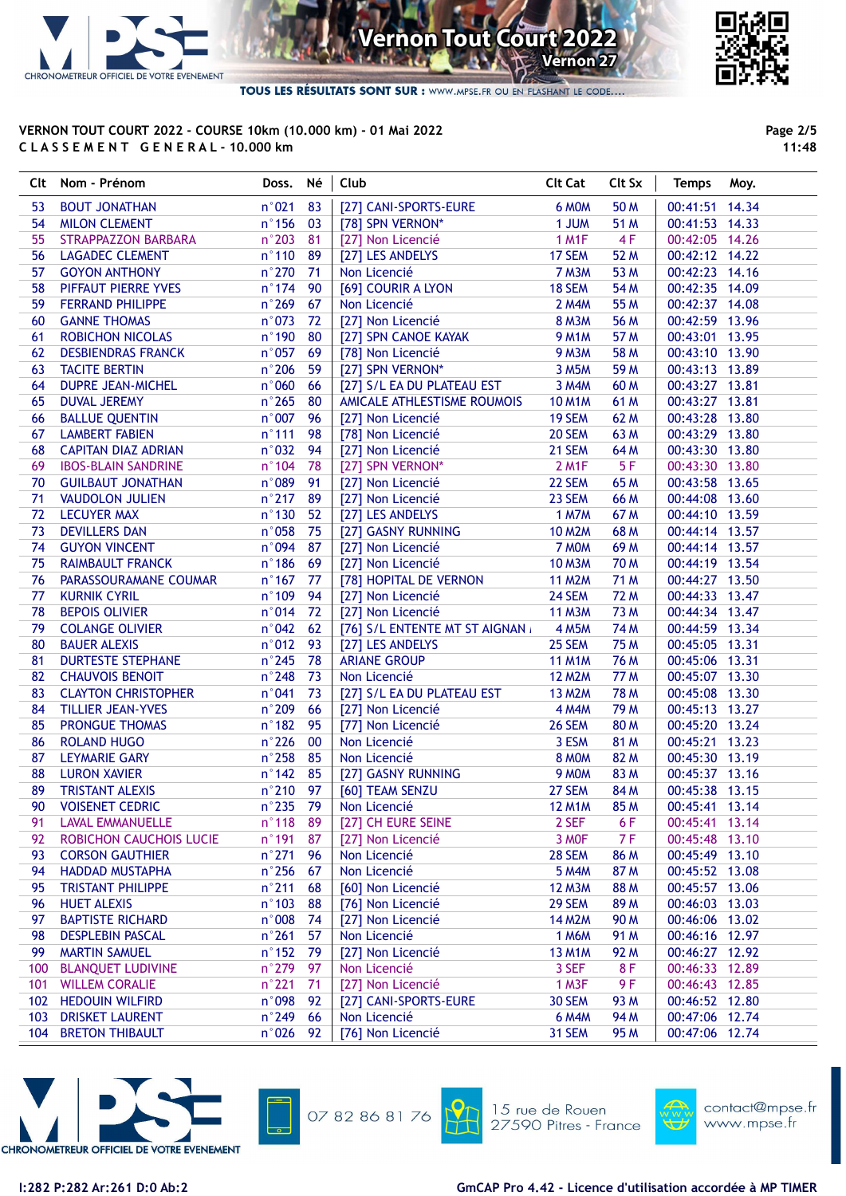

TOUS LES RÉSULTATS SONT SUR : WWW.MPSE.FR OU EN FLASHANT LE CODE...

### VERNON TOUT COURT 2022 - COURSE 10km (10.000 km) - 01 Mai 2022 C L A S S E M E N T G E N E R A L - 10.000 km

Page 2/5 11:48

|     | Clt Nom - Prénom           | Doss.           | Né | Club                          | <b>Clt Cat</b>     | Clt Sx      | <b>Temps</b>   | Moy. |
|-----|----------------------------|-----------------|----|-------------------------------|--------------------|-------------|----------------|------|
| 53  | <b>BOUT JONATHAN</b>       | n°021           | 83 | [27] CANI-SPORTS-EURE         | 6 MOM              | 50 M        | 00:41:51 14.34 |      |
| 54  | <b>MILON CLEMENT</b>       | $n^{\circ}$ 156 | 03 | [78] SPN VERNON*              | 1 JUM              | 51 M        | 00:41:53 14.33 |      |
| 55  | STRAPPAZZON BARBARA        | $n^{\circ}$ 203 | 81 | [27] Non Licencié             | <b>1 M1F</b>       | 4F          | 00:42:05 14.26 |      |
| 56  | <b>LAGADEC CLEMENT</b>     | n°110           | 89 | [27] LES ANDELYS              | 17 SEM             | 52 M        | 00:42:12 14.22 |      |
| 57  | <b>GOYON ANTHONY</b>       | n°270           | 71 | Non Licencié                  | 7 M3M              | 53 M        | 00:42:23 14.16 |      |
| 58  | PIFFAUT PIERRE YVES        | $n^{\circ}$ 174 | 90 | [69] COURIR A LYON            | 18 SEM             | 54 M        | 00:42:35 14.09 |      |
| 59  | <b>FERRAND PHILIPPE</b>    | n°269           | 67 | Non Licencié                  | 2 M4M              | 55 M        | 00:42:37 14.08 |      |
| 60  | <b>GANNE THOMAS</b>        | n°073           | 72 | [27] Non Licencié             | <b>8 M3M</b>       | 56 M        | 00:42:59 13.96 |      |
| 61  | <b>ROBICHON NICOLAS</b>    | $n^{\circ}$ 190 | 80 | [27] SPN CANOE KAYAK          | <b>9 M1M</b>       | 57 M        | 00:43:01 13.95 |      |
| 62  | <b>DESBIENDRAS FRANCK</b>  | n°057           | 69 | [78] Non Licencié             | <b>9 M3M</b>       | 58 M        | 00:43:10 13.90 |      |
| 63  | <b>TACITE BERTIN</b>       | $n^{\circ}206$  | 59 | [27] SPN VERNON*              | 3 M5M              | 59 M        | 00:43:13 13.89 |      |
| 64  | <b>DUPRE JEAN-MICHEL</b>   | n°060           | 66 | [27] S/L EA DU PLATEAU EST    | 3 M4M              | 60 M        | 00:43:27 13.81 |      |
| 65  | <b>DUVAL JEREMY</b>        | $n^{\circ}265$  | 80 | AMICALE ATHLESTISME ROUMOIS   | <b>10 M1M</b>      | 61 M        | 00:43:27 13.81 |      |
| 66  | <b>BALLUE QUENTIN</b>      | n°007           | 96 | [27] Non Licencié             | 19 SEM             | 62 M        | 00:43:28 13.80 |      |
| 67  | <b>LAMBERT FABIEN</b>      | n°111           | 98 | [78] Non Licencié             | 20 SEM             | 63 M        | 00:43:29 13.80 |      |
| 68  | <b>CAPITAN DIAZ ADRIAN</b> | n°032           | 94 | [27] Non Licencié             | 21 SEM             | 64 M        | 00:43:30 13.80 |      |
| 69  | <b>IBOS-BLAIN SANDRINE</b> | $n^{\circ}$ 104 | 78 | [27] SPN VERNON*              | 2 M <sub>1</sub> F | 5F          | 00:43:30 13.80 |      |
| 70  | <b>GUILBAUT JONATHAN</b>   | n°089           | 91 | [27] Non Licencié             | 22 SEM             | 65 M        | 00:43:58 13.65 |      |
| 71  | <b>VAUDOLON JULIEN</b>     | n°217           | 89 | [27] Non Licencié             | 23 SEM             | 66 M        | 00:44:08 13.60 |      |
| 72  | <b>LECUYER MAX</b>         | $n^{\circ}$ 130 | 52 | [27] LES ANDELYS              | <b>1 M7M</b>       | 67 M        | 00:44:10 13.59 |      |
| 73  | <b>DEVILLERS DAN</b>       | n°058           | 75 | [27] GASNY RUNNING            | <b>10 M2M</b>      | 68 M        | 00:44:14 13.57 |      |
| 74  | <b>GUYON VINCENT</b>       | n°094           | 87 | [27] Non Licencié             | 7 MOM              | 69 M        | 00:44:14 13.57 |      |
| 75  | RAIMBAULT FRANCK           | $n^{\circ}$ 186 | 69 | [27] Non Licencié             | <b>10 M3M</b>      | 70 M        | 00:44:19 13.54 |      |
| 76  | PARASSOURAMANE COUMAR      | $n^{\circ}$ 167 | 77 | [78] HOPITAL DE VERNON        | <b>11 M2M</b>      | 71 M        | 00:44:27 13.50 |      |
| 77  | <b>KURNIK CYRIL</b>        | n°109           | 94 | [27] Non Licencié             | 24 SEM             | 72 M        | 00:44:33 13.47 |      |
| 78  | <b>BEPOIS OLIVIER</b>      | n°014           | 72 | [27] Non Licencié             | <b>11 M3M</b>      | 73 M        | 00:44:34 13.47 |      |
| 79  | <b>COLANGE OLIVIER</b>     | n°042           | 62 | [76] S/L ENTENTE MT ST AIGNAN | 4 M <sub>5</sub> M | 74 M        | 00:44:59 13.34 |      |
| 80  | <b>BAUER ALEXIS</b>        | n°012           | 93 | [27] LES ANDELYS              | 25 SEM             | 75 M        | 00:45:05 13.31 |      |
| 81  | <b>DURTESTE STEPHANE</b>   | $n^{\circ}$ 245 | 78 | <b>ARIANE GROUP</b>           | <b>11 M1M</b>      | 76 M        | 00:45:06 13.31 |      |
| 82  | <b>CHAUVOIS BENOIT</b>     | $n^{\circ}$ 248 | 73 | Non Licencié                  | <b>12 M2M</b>      | 77 M        | 00:45:07 13.30 |      |
| 83  | <b>CLAYTON CHRISTOPHER</b> | n°041           | 73 | [27] S/L EA DU PLATEAU EST    | <b>13 M2M</b>      | <b>78 M</b> | 00:45:08 13.30 |      |
| 84  | <b>TILLIER JEAN-YVES</b>   | n°209           | 66 | [27] Non Licencié             | 4 M4M              | 79 M        | 00:45:13 13.27 |      |
| 85  | <b>PRONGUE THOMAS</b>      | $n^{\circ}$ 182 | 95 | [77] Non Licencié             | 26 SEM             | 80 M        | 00:45:20 13.24 |      |
| 86  | <b>ROLAND HUGO</b>         | n°226           | 00 | Non Licencié                  | 3 ESM              | 81 M        | 00:45:21 13.23 |      |
| 87  | <b>LEYMARIE GARY</b>       | n°258           | 85 | Non Licencié                  | <b>8 MOM</b>       | 82 M        | 00:45:30 13.19 |      |
| 88  | <b>LURON XAVIER</b>        | $n^{\circ}$ 142 | 85 | [27] GASNY RUNNING            | 9 MOM              | 83 M        | 00:45:37 13.16 |      |
| 89  | <b>TRISTANT ALEXIS</b>     | n°210           | 97 | [60] TEAM SENZU               | 27 SEM             | 84 M        | 00:45:38 13.15 |      |
| 90  | <b>VOISENET CEDRIC</b>     | $n^{\circ}$ 235 | 79 | Non Licencié                  | <b>12 M1M</b>      | 85 M        | 00:45:41 13.14 |      |
| 91  | <b>LAVAL EMMANUELLE</b>    | n°118           | 89 | [27] CH EURE SEINE            | 2 SEF              | 6 F         | 00:45:41 13.14 |      |
| 92  | ROBICHON CAUCHOIS LUCIE    | n°191           | 87 | [27] Non Licencié             | 3 MOF              | 7F          | 00:45:48 13.10 |      |
| 93  | <b>CORSON GAUTHIER</b>     | n°271           | 96 | Non Licencié                  | 28 SEM             | 86 M        | 00:45:49 13.10 |      |
| 94  | <b>HADDAD MUSTAPHA</b>     | n°256           | 67 | Non Licencié                  | 5 M4M              | 87 M        | 00:45:52 13.08 |      |
| 95  | <b>TRISTANT PHILIPPE</b>   | n°211           | 68 | [60] Non Licencié             | <b>12 M3M</b>      | 88 M        | 00:45:57 13.06 |      |
| 96  | <b>HUET ALEXIS</b>         | $n^{\circ}$ 103 | 88 | [76] Non Licencié             | 29 SEM             | 89 M        | 00:46:03 13.03 |      |
| 97  | <b>BAPTISTE RICHARD</b>    | n°008           | 74 | [27] Non Licencié             | <b>14 M2M</b>      | 90 M        | 00:46:06 13.02 |      |
| 98  | <b>DESPLEBIN PASCAL</b>    | $n^{\circ}261$  | 57 | Non Licencié                  | 1 M6M              | 91 M        | 00:46:16 12.97 |      |
| 99  | <b>MARTIN SAMUEL</b>       | $n^{\circ}$ 152 | 79 | [27] Non Licencié             | <b>13 M1M</b>      | 92 M        | 00:46:27 12.92 |      |
| 100 | <b>BLANQUET LUDIVINE</b>   | n°279           | 97 | Non Licencié                  | 3 SEF              | 8F          | 00:46:33 12.89 |      |
| 101 | <b>WILLEM CORALIE</b>      | n°221           | 71 | [27] Non Licencié             | 1 M3F              | 9F          | 00:46:43 12.85 |      |
| 102 | <b>HEDOUIN WILFIRD</b>     | n°098           | 92 | [27] CANI-SPORTS-EURE         | 30 SEM             | 93 M        | 00:46:52 12.80 |      |
| 103 | <b>DRISKET LAURENT</b>     | n°249           | 66 | Non Licencié                  | <b>6 M4M</b>       | 94 M        | 00:47:06 12.74 |      |
|     |                            |                 |    |                               |                    |             |                |      |
| 104 | <b>BRETON THIBAULT</b>     | n°026           | 92 | [76] Non Licencié             | 31 SEM             | 95 M        | 00:47:06 12.74 |      |





07 82 86 81 76

15 rue de Rouen 27590 Pitres - France

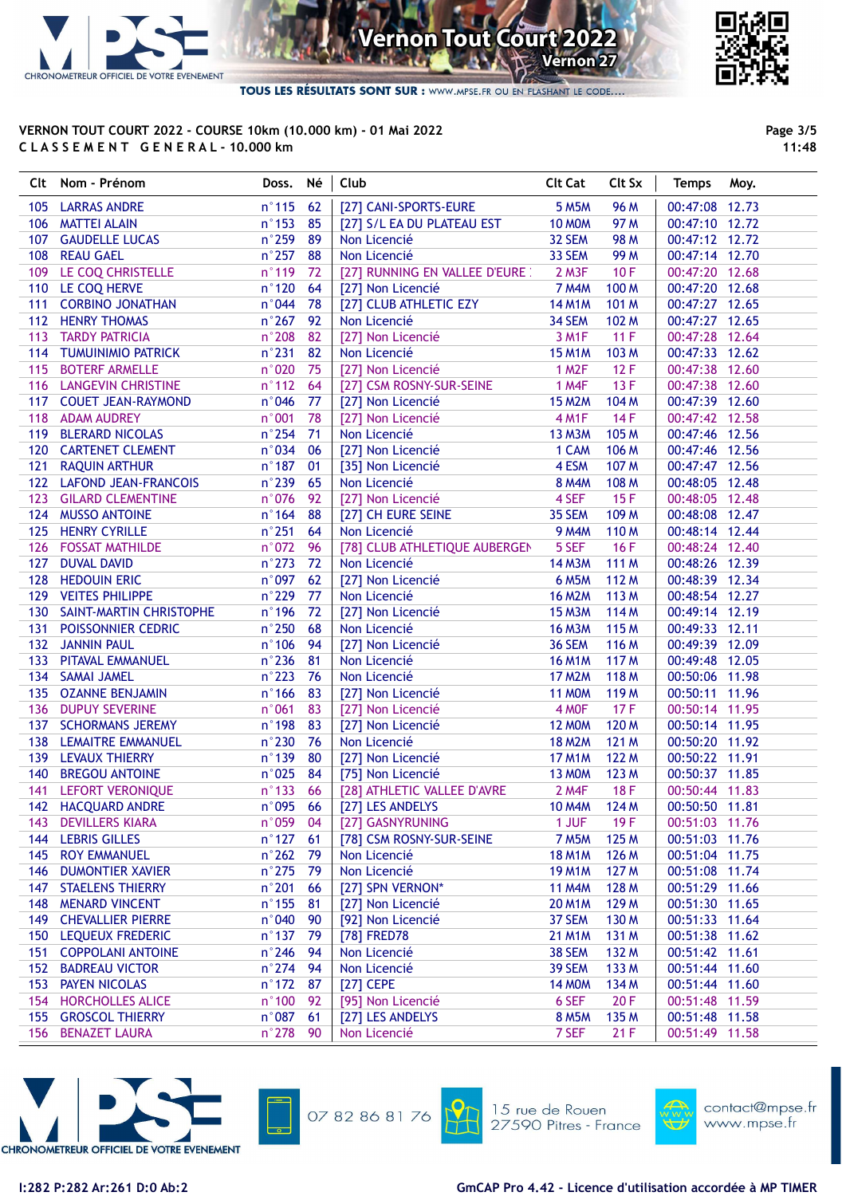

TOUS LES RÉSULTATS SONT SUR : WWW.MPSE.FR OU EN FLASHANT LE CODE...

### VERNON TOUT COURT 2022 - COURSE 10km (10.000 km) - 01 Mai 2022 C L A S S E M E N T G E N E R A L - 10.000 km

Page 3/5 11:48

|     | Clt Nom - Prénom                                 | Doss.           | Né | Club                            | <b>Clt Cat</b>     | Clt Sx           | <b>Temps</b><br>Moy. |
|-----|--------------------------------------------------|-----------------|----|---------------------------------|--------------------|------------------|----------------------|
|     | 105 LARRAS ANDRE                                 | $n^{\circ}115$  | 62 | [27] CANI-SPORTS-EURE           | 5 M <sub>5</sub> M | 96 M             | 00:47:08 12.73       |
|     | 106 MATTEI ALAIN                                 | $n^{\circ}$ 153 | 85 | [27] S/L EA DU PLATEAU EST      | <b>10 MOM</b>      | 97 M             | 00:47:10 12.72       |
| 107 | <b>GAUDELLE LUCAS</b>                            | n°259           | 89 | Non Licencié                    | 32 SEM             | <b>98 M</b>      | 00:47:12 12.72       |
|     | 108 REAU GAEL                                    | $n^{\circ}257$  | 88 | Non Licencié                    | 33 SEM             | 99 M             | 00:47:14 12.70       |
|     | 109 LE COQ CHRISTELLE                            | $n^{\circ}$ 119 | 72 | [27] RUNNING EN VALLEE D'EURE : | 2 M3F              | 10F              | 00:47:20 12.68       |
|     | 110 LE COQ HERVE                                 | $n^{\circ}$ 120 | 64 | [27] Non Licencié               | <b>7 M4M</b>       | 100 M            | 00:47:20 12.68       |
| 111 | <b>CORBINO JONATHAN</b>                          | n°044           | 78 | [27] CLUB ATHLETIC EZY          | <b>14 M1M</b>      | 101 M            | 00:47:27 12.65       |
|     | 112 HENRY THOMAS                                 | $n^{\circ}267$  | 92 | Non Licencié                    | 34 SEM             | 102 M            | 00:47:27 12.65       |
|     | 113 TARDY PATRICIA                               | n°208           | 82 | [27] Non Licencié               | 3 M <sub>1</sub> F | 11F              | 00:47:28 12.64       |
|     | 114 TUMUINIMIO PATRICK                           | $n^{\circ}$ 231 | 82 | Non Licencié                    | <b>15 M1M</b>      | 103 M            | 00:47:33 12.62       |
|     | 115 BOTERF ARMELLE                               | n°020           | 75 | [27] Non Licencié               | 1 M <sub>2</sub> F | 12F              | 00:47:38 12.60       |
|     | 116 LANGEVIN CHRISTINE                           | n°112           | 64 | [27] CSM ROSNY-SUR-SEINE        | 1 M4F              | 13F              | 00:47:38 12.60       |
|     | 117 COUET JEAN-RAYMOND                           | n°046           | 77 | [27] Non Licencié               | <b>15 M2M</b>      | 104 M            | 00:47:39 12.60       |
|     | 118 ADAM AUDREY                                  | n°001           | 78 | [27] Non Licencié               | <b>4 M1F</b>       | 14F              | 00:47:42 12.58       |
|     | 119 BLERARD NICOLAS                              | n°254           | 71 | Non Licencié                    | <b>13 M3M</b>      | 105 M            | 00:47:46 12.56       |
|     | 120 CARTENET CLEMENT                             | n°034           | 06 | [27] Non Licencié               | 1 CAM              | 106 M            | 00:47:46 12.56       |
| 121 | <b>RAQUIN ARTHUR</b>                             | $n^{\circ}$ 187 | 01 | [35] Non Licencié               | 4 ESM              | 107 M            | 00:47:47 12.56       |
|     | 122 LAFOND JEAN-FRANCOIS                         | n°239           | 65 | Non Licencié                    | <b>8 M4M</b>       | 108 M            | 00:48:05 12.48       |
|     | 123 GILARD CLEMENTINE                            | n°076           | 92 | [27] Non Licencié               | 4 SEF              | 15F              | 00:48:05 12.48       |
|     | 124 MUSSO ANTOINE                                | $n^{\circ}$ 164 | 88 | [27] CH EURE SEINE              | 35 SEM             | 109 M            | 00:48:08 12.47       |
|     | 125 HENRY CYRILLE                                | $n^{\circ}251$  | 64 | Non Licencié                    | <b>9 M4M</b>       | 110 M            | 00:48:14 12.44       |
|     | 126 FOSSAT MATHILDE                              | n°072           | 96 | [78] CLUB ATHLETIQUE AUBERGEN   | 5 SEF              | 16F              | 00:48:24 12.40       |
| 127 | <b>DUVAL DAVID</b>                               | $n^{\circ}$ 273 | 72 | Non Licencié                    | <b>14 M3M</b>      | 111 M            | 00:48:26 12.39       |
|     | 128 HEDOUIN ERIC                                 | n°097           | 62 | [27] Non Licencié               | <b>6 M5M</b>       | 112 M            | 00:48:39 12.34       |
|     | 129 VEITES PHILIPPE                              | n°229           | 77 | Non Licencié                    | <b>16 M2M</b>      | 113 M            | 00:48:54 12.27       |
|     | 130 SAINT-MARTIN CHRISTOPHE                      | $n^{\circ}$ 196 | 72 | [27] Non Licencié               | <b>15 M3M</b>      | 114 M            | 00:49:14 12.19       |
| 131 | POISSONNIER CEDRIC                               | n°250           | 68 | Non Licencié                    | <b>16 M3M</b>      | 115 M            | 00:49:33 12.11       |
|     | 132 JANNIN PAUL                                  | n°106           | 94 | [27] Non Licencié               | <b>36 SEM</b>      | 116 M            | 00:49:39 12.09       |
|     | 133 PITAVAL EMMANUEL                             | n°236           | 81 | Non Licencié                    | <b>16 M1M</b>      | 117 M            | 00:49:48 12.05       |
|     | 134 SAMAI JAMEL                                  | $n^{\circ}$ 223 | 76 | Non Licencié                    | <b>17 M2M</b>      | 118 M            | 00:50:06 11.98       |
|     | 135 OZANNE BENJAMIN                              | $n^{\circ}$ 166 | 83 | [27] Non Licencié               | <b>11 MOM</b>      | 119 <sub>M</sub> | 00:50:11 11.96       |
|     | 136 DUPUY SEVERINE                               | n°061           | 83 |                                 | 4 MOF              | 17F              | 00:50:14 11.95       |
| 137 |                                                  | $n^{\circ}$ 198 | 83 | [27] Non Licencié               | <b>12 MOM</b>      | 120 M            | 00:50:14 11.95       |
|     | <b>SCHORMANS JEREMY</b><br>138 LEMAITRE EMMANUEL |                 |    | [27] Non Licencié               |                    | 121 M            | 00:50:20 11.92       |
|     |                                                  | n°230           | 76 | Non Licencié                    | <b>18 M2M</b>      |                  | 00:50:22 11.91       |
|     | 139 LEVAUX THIERRY                               | $n^{\circ}$ 139 | 80 | [27] Non Licencié               | <b>17 M1M</b>      | 122 M            |                      |
| 140 | <b>BREGOU ANTOINE</b>                            | n°025           | 84 | [75] Non Licencié               | <b>13 MOM</b>      | 123 M            | 00:50:37 11.85       |
| 141 | LEFORT VERONIQUE                                 | $n^{\circ}$ 133 | 66 | [28] ATHLETIC VALLEE D'AVRE     | 2 M4F              | <b>18F</b>       | 00:50:44 11.83       |
|     | 142 HACQUARD ANDRE                               | n°095           | 66 | [27] LES ANDELYS                | <b>10 M4M</b>      | 124 M            | 00:50:50 11.81       |
|     | 143 DEVILLERS KIARA                              | n°059           | 04 | [27] GASNYRUNING                | 1 JUF              | 19F              | 00:51:03 11.76       |
| 144 | <b>LEBRIS GILLES</b>                             | $n^{\circ}$ 127 | 61 | [78] CSM ROSNY-SUR-SEINE        | <b>7 M5M</b>       | 125 M            | 00:51:03 11.76       |
| 145 | <b>ROY EMMANUEL</b>                              | $n^{\circ}262$  | 79 | Non Licencié                    | <b>18 M1M</b>      | 126 M            | 00:51:04 11.75       |
| 146 | <b>DUMONTIER XAVIER</b>                          | n°275           | 79 | Non Licencié                    | <b>19 M1M</b>      | 127 M            | 00:51:08 11.74       |
| 147 | <b>STAELENS THIERRY</b>                          | n°201           | 66 | [27] SPN VERNON*                | <b>11 M4M</b>      | 128 M            | 00:51:29 11.66       |
| 148 | <b>MENARD VINCENT</b>                            | $n^{\circ}$ 155 | 81 | [27] Non Licencié               | <b>20 M1M</b>      | 129 M            | 00:51:30 11.65       |
| 149 | <b>CHEVALLIER PIERRE</b>                         | n°040           | 90 | [92] Non Licencié               | 37 SEM             | 130 M            | 00:51:33 11.64       |
|     | <b>150 LEQUEUX FREDERIC</b>                      | $n^{\circ}$ 137 | 79 | [78] FRED78                     | 21 M1M             | 131 M            | 00:51:38 11.62       |
| 151 | <b>COPPOLANI ANTOINE</b>                         | n°246           | 94 | Non Licencié                    | 38 SEM             | 132 M            | 00:51:42 11.61       |
| 152 | <b>BADREAU VICTOR</b>                            | n°274           | 94 | Non Licencié                    | 39 SEM             | 133 M            | 00:51:44 11.60       |
|     | 153 PAYEN NICOLAS                                | $n^{\circ}$ 172 | 87 | [27] CEPE                       | <b>14 MOM</b>      | 134 M            | 00:51:44 11.60       |
|     | 154 HORCHOLLES ALICE                             | $n^{\circ}$ 100 | 92 | [95] Non Licencié               | 6 SEF              | 20F              | 00:51:48 11.59       |
|     | 155 GROSCOL THIERRY                              | n°087           | 61 | [27] LES ANDELYS                | <b>8 M5M</b>       | 135 M            | 00:51:48 11.58       |
| 156 | <b>BENAZET LAURA</b>                             | n°278           | 90 | Non Licencié                    | 7 SEF              | 21F              | 00:51:49 11.58       |







15 rue de Rouen 27590 Pitres - France

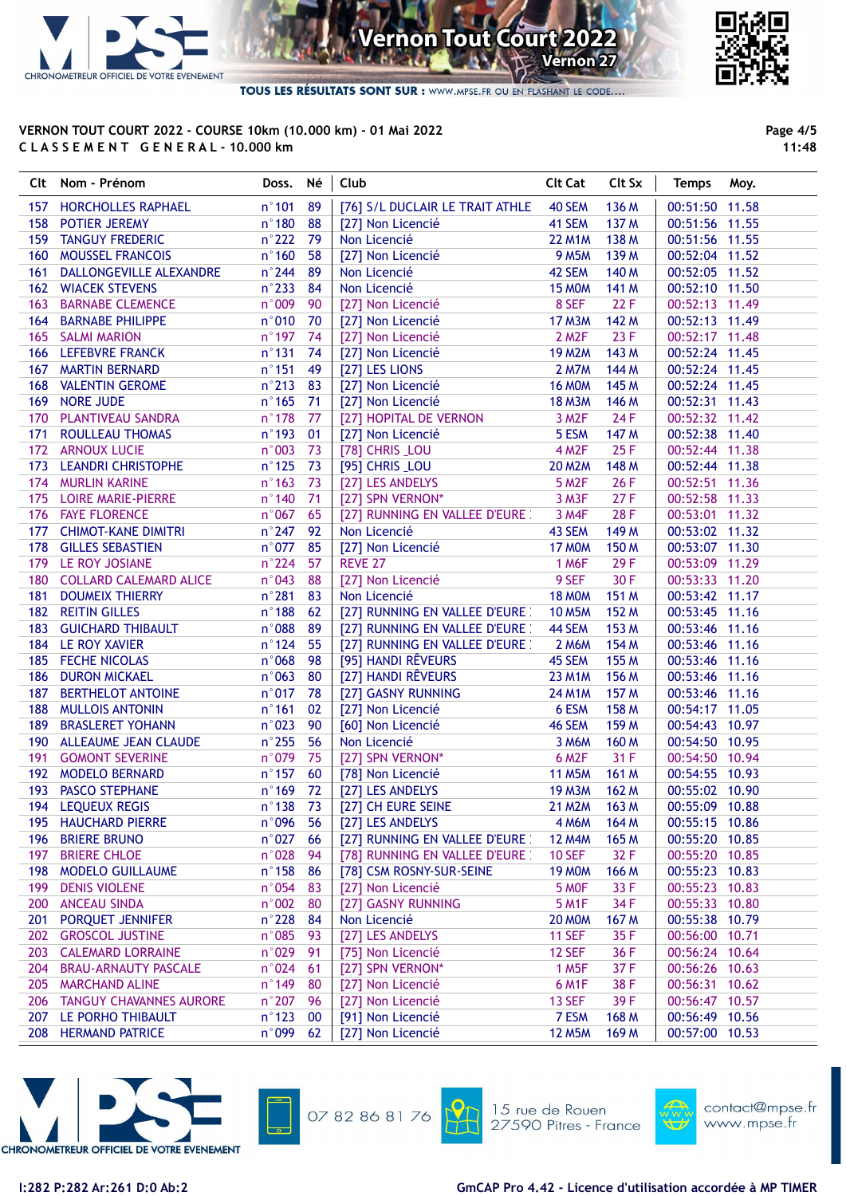



TOUS LES RÉSULTATS SONT SUR : WWW.MPSE.FR OU EN FLASHANT LE CODE...

### VERNON TOUT COURT 2022 - COURSE 10km (10.000 km) - 01 Mai 2022 C L A S S E M E N T G E N E R A L - 10.000 km

Page 4/5 11:48

|     | Clt Nom - Prénom               | Doss.           | Né | Club                            | <b>Clt Cat</b>     | Clt Sx | <b>Temps</b><br>Moy. |
|-----|--------------------------------|-----------------|----|---------------------------------|--------------------|--------|----------------------|
|     | 157 HORCHOLLES RAPHAEL         | $n^{\circ}$ 101 | 89 | [76] S/L DUCLAIR LE TRAIT ATHLE | <b>40 SEM</b>      | 136 M  | 00:51:50 11.58       |
| 158 | POTIER JEREMY                  | $n^{\circ}$ 180 | 88 | [27] Non Licencié               | 41 SEM             | 137 M  | 00:51:56 11.55       |
| 159 | <b>TANGUY FREDERIC</b>         | $n^{\circ}222$  | 79 | Non Licencié                    | <b>22 M1M</b>      | 138 M  | 00:51:56 11.55       |
| 160 | <b>MOUSSEL FRANCOIS</b>        | $n^{\circ}$ 160 | 58 | [27] Non Licencié               | <b>9 M5M</b>       | 139 M  | 00:52:04 11.52       |
| 161 | DALLONGEVILLE ALEXANDRE        | $n^{\circ}$ 244 | 89 | Non Licencié                    | 42 SEM             | 140 M  | 00:52:05 11.52       |
|     | <b>162 WIACEK STEVENS</b>      | $n^{\circ}$ 233 | 84 | Non Licencié                    | <b>15 MOM</b>      | 141 M  | 00:52:10 11.50       |
| 163 | <b>BARNABE CLEMENCE</b>        | n°009           | 90 | [27] Non Licencié               | 8 SEF              | 22 F   | 00:52:13 11.49       |
| 164 | <b>BARNABE PHILIPPE</b>        | n°010           | 70 | [27] Non Licencié               | <b>17 M3M</b>      | 142 M  | 00:52:13 11.49       |
|     | 165 SALMI MARION               | n°197           | 74 | [27] Non Licencié               | 2 M <sub>2</sub> F | 23 F   | 00:52:17 11.48       |
|     | 166 LEFEBVRE FRANCK            | $n^{\circ}$ 131 | 74 | [27] Non Licencié               | <b>19 M2M</b>      | 143 M  | 00:52:24 11.45       |
|     | 167 MARTIN BERNARD             | $n^{\circ}$ 151 | 49 | [27] LES LIONS                  | <b>2 M7M</b>       | 144 M  | 00:52:24 11.45       |
|     | 168 VALENTIN GEROME            | n°213           | 83 | [27] Non Licencié               | <b>16 MOM</b>      | 145 M  | 00:52:24 11.45       |
| 169 | <b>NORE JUDE</b>               | $n^{\circ}$ 165 | 71 | [27] Non Licencié               | <b>18 M3M</b>      | 146 M  | 00:52:31 11.43       |
| 170 | PLANTIVEAU SANDRA              | n°178           | 77 | [27] HOPITAL DE VERNON          | 3 M <sub>2</sub> F | 24F    | 00:52:32 11.42       |
| 171 | ROULLEAU THOMAS                | $n^{\circ}$ 193 | 01 | [27] Non Licencié               | 5 ESM              | 147 M  | 00:52:38 11.40       |
| 172 | <b>ARNOUX LUCIE</b>            | n°003           | 73 | [78] CHRIS LOU                  | 4 M <sub>2</sub> F | 25F    | 00:52:44 11.38       |
| 173 | <b>LEANDRI CHRISTOPHE</b>      | $n^{\circ}$ 125 | 73 | [95] CHRIS LOU                  | <b>20 M2M</b>      | 148 M  | 00:52:44 11.38       |
| 174 | <b>MURLIN KARINE</b>           | $n^{\circ}$ 163 | 73 | [27] LES ANDELYS                | 5 M <sub>2</sub> F | 26 F   | 00:52:51 11.36       |
|     | 175 LOIRE MARIE-PIERRE         | $n^{\circ}$ 140 | 71 | [27] SPN VERNON*                | 3 M3F              | 27F    | 00:52:58 11.33       |
|     | 176 FAYE FLORENCE              | n°067           | 65 | [27] RUNNING EN VALLEE D'EURE : | 3 M4F              | 28 F   | 00:53:01 11.32       |
|     | 177 CHIMOT-KANE DIMITRI        | $n^{\circ}247$  | 92 | Non Licencié                    | 43 SEM             | 149 M  | 00:53:02 11.32       |
|     | 178 GILLES SEBASTIEN           | n°077           | 85 | [27] Non Licencié               | <b>17 MOM</b>      | 150 M  | 00:53:07 11.30       |
| 179 | LE ROY JOSIANE                 | n°224           | 57 | <b>REVE 27</b>                  | 1 M6F              | 29F    | 00:53:09 11.29       |
| 180 | <b>COLLARD CALEMARD ALICE</b>  | n°043           | 88 | [27] Non Licencié               | 9 SEF              | 30 F   | 00:53:33 11.20       |
| 181 | <b>DOUMEIX THIERRY</b>         | $n^{\circ}281$  | 83 | Non Licencié                    | <b>18 MOM</b>      | 151 M  | 00:53:42 11.17       |
|     | 182 REITIN GILLES              | $n^{\circ}$ 188 | 62 | [27] RUNNING EN VALLEE D'EURE : | <b>10 M5M</b>      | 152 M  | 00:53:45 11.16       |
| 183 | <b>GUICHARD THIBAULT</b>       | n°088           | 89 | [27] RUNNING EN VALLEE D'EURE : | 44 SEM             | 153 M  | 00:53:46 11.16       |
|     | 184 LE ROY XAVIER              | $n^{\circ}$ 124 | 55 | [27] RUNNING EN VALLEE D'EURE : | 2 M6M              | 154 M  | 00:53:46 11.16       |
|     | 185 FECHE NICOLAS              | n°068           | 98 | [95] HANDI RÊVEURS              | 45 SEM             | 155 M  | 00:53:46 11.16       |
| 186 | <b>DURON MICKAEL</b>           | n°063           | 80 | [27] HANDI RÊVEURS              | <b>23 M1M</b>      | 156 M  | 00:53:46 11.16       |
| 187 | <b>BERTHELOT ANTOINE</b>       | n°017           | 78 | [27] GASNY RUNNING              | 24 M1M             | 157 M  | 00:53:46 11.16       |
| 188 | <b>MULLOIS ANTONIN</b>         | $n^{\circ}$ 161 | 02 | [27] Non Licencié               | 6 ESM              | 158 M  | 00:54:17 11.05       |
| 189 | <b>BRASLERET YOHANN</b>        | n°023           | 90 | [60] Non Licencié               | 46 SEM             | 159 M  | 00:54:43 10.97       |
| 190 | ALLEAUME JEAN CLAUDE           | $n^{\circ}255$  | 56 | Non Licencié                    | 3 M6M              | 160 M  | 00:54:50 10.95       |
| 191 | <b>GOMONT SEVERINE</b>         | n°079           | 75 | [27] SPN VERNON*                | 6 M <sub>2</sub> F | 31 F   | 00:54:50 10.94       |
| 192 | <b>MODELO BERNARD</b>          | $n^{\circ}$ 157 | 60 | [78] Non Licencié               | <b>11 M5M</b>      | 161 M  | 00:54:55 10.93       |
| 193 | PASCO STEPHANE                 | $n^{\circ}$ 169 | 72 | [27] LES ANDELYS                | <b>19 M3M</b>      | 162 M  | 00:55:02 10.90       |
| 194 | <b>LEQUEUX REGIS</b>           | $n^{\circ}$ 138 | 73 | [27] CH EURE SEINE              | <b>21 M2M</b>      | 163M   | 00:55:09 10.88       |
|     | 195 HAUCHARD PIERRE            | n°096           | 56 | [27] LES ANDELYS                | <b>4 M6M</b>       | 164 M  | 00:55:15 10.86       |
| 196 | <b>BRIERE BRUNO</b>            | n°027           | 66 | [27] RUNNING EN VALLEE D'EURE : | <b>12 M4M</b>      | 165 M  | 00:55:20 10.85       |
| 197 | <b>BRIERE CHLOE</b>            | n°028           | 94 | [78] RUNNING EN VALLEE D'EURE : | <b>10 SEF</b>      | 32 F   | 00:55:20 10.85       |
| 198 | <b>MODELO GUILLAUME</b>        | $n^{\circ}$ 158 | 86 | [78] CSM ROSNY-SUR-SEINE        | <b>19 MOM</b>      | 166 M  | 00:55:23 10.83       |
| 199 | <b>DENIS VIOLENE</b>           | n°054           | 83 | [27] Non Licencié               | 5 MOF              | 33 F   | 00:55:23 10.83       |
| 200 | <b>ANCEAU SINDA</b>            | n°002           | 80 | [27] GASNY RUNNING              | 5 M <sub>1</sub> F | 34 F   | 00:55:33 10.80       |
| 201 | PORQUET JENNIFER               | n°228           | 84 | Non Licencié                    | <b>20 MOM</b>      | 167 M  | 00:55:38 10.79       |
| 202 | <b>GROSCOL JUSTINE</b>         | n°085           | 93 | [27] LES ANDELYS                | <b>11 SEF</b>      | 35F    | 00:56:00 10.71       |
| 203 | <b>CALEMARD LORRAINE</b>       | n°029           | 91 | [75] Non Licencié               | 12 SEF             | 36 F   | 00:56:24 10.64       |
| 204 | <b>BRAU-ARNAUTY PASCALE</b>    | n°024           | 61 | [27] SPN VERNON*                | 1 M <sub>5</sub> F | 37 F   | 00:56:26 10.63       |
| 205 | <b>MARCHAND ALINE</b>          | n°149           | 80 | [27] Non Licencié               | 6 M <sub>1</sub> F | 38 F   | 00:56:31 10.62       |
| 206 | <b>TANGUY CHAVANNES AURORE</b> | n°207           | 96 | [27] Non Licencié               | 13 SEF             | 39F    | 00:56:47 10.57       |
| 207 | LE PORHO THIBAULT              | $n^{\circ}$ 123 | 00 | [91] Non Licencié               | 7 ESM              | 168 M  | 00:56:49 10.56       |
| 208 | <b>HERMAND PATRICE</b>         | n°099           | 62 | [27] Non Licencié               | <b>12 M5M</b>      | 169 M  | 00:57:00 10.53       |
|     |                                |                 |    |                                 |                    |        |                      |





07 82 86 81 76

15 rue de Rouen 27590 Pitres - France